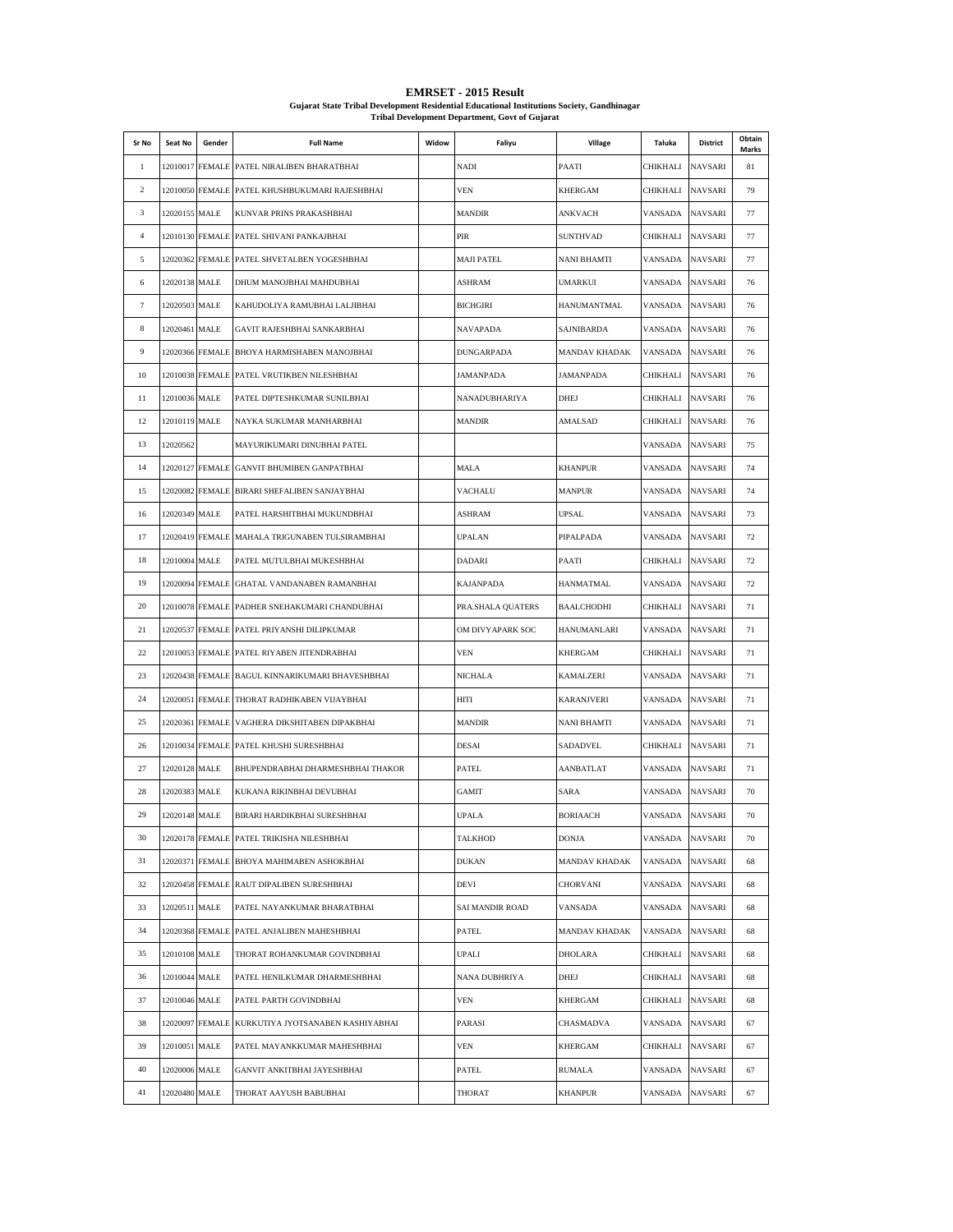| Sr No          | Seat No         | Gender          | <b>Full Name</b>                                | Widow | Faliyu            | Village              | Taluka   | District       | Obtain<br>Marks |
|----------------|-----------------|-----------------|-------------------------------------------------|-------|-------------------|----------------------|----------|----------------|-----------------|
| 1              |                 |                 | 12010017 FEMALE PATEL NIRALIBEN BHARATBHAI      |       | <b>NADI</b>       | PAATI                | CHIKHALI | NAVSARI        | 81              |
| 2              |                 |                 | 12010050 FEMALE PATEL KHUSHBUKUMARI RAJESHBHAI  |       | <b>VEN</b>        | <b>KHERGAM</b>       | CHIKHALI | <b>NAVSARI</b> | 79              |
| 3              | 12020155 MALE   |                 | KUNVAR PRINS PRAKASHBHAI                        |       | <b>MANDIR</b>     | ANKVACH              | VANSADA  | NAVSARI        | 77              |
| $\overline{4}$ |                 |                 | 12010130 FEMALE PATEL SHIVANI PANKAJBHAI        |       | <b>PIR</b>        | <b>SUNTHVAD</b>      | CHIKHALI | <b>NAVSARI</b> | 77              |
| 5              |                 |                 | 12020362 FEMALE PATEL SHVETALBEN YOGESHBHAI     |       | <b>MAJI PATEL</b> | NANI BHAMTI          | VANSADA  | <b>NAVSARI</b> | 77              |
| 6              | 12020138 MALE   |                 | DHUM MANOJBHAI MAHDUBHAI                        |       | <b>ASHRAM</b>     | <b>UMARKUI</b>       | VANSADA  | NAVSARI        | 76              |
| $\tau$         | 12020503 MALE   |                 | KAHUDOLIYA RAMUBHAI LALJIBHAI                   |       | <b>BICHGIRI</b>   | HANUMANTMAL          | VANSADA  | <b>NAVSARI</b> | 76              |
| 8              | 12020461 MALE   |                 | <b>GAVIT RAJESHBHAI SANKARBHAI</b>              |       | NAVAPADA          | SAJNIBARDA           | VANSADA  | <b>NAVSARI</b> | 76              |
| 9              |                 | 12020366 FEMALE | BHOYA HARMISHABEN MANOJBHAI                     |       | <b>DUNGARPADA</b> | <b>MANDAV KHADAK</b> | VANSADA  | <b>NAVSARI</b> | 76              |
| 10             |                 | 12010038 FEMALE | PATEL VRUTIKBEN NILESHBHAI                      |       | JAMANPADA         | <b>JAMANPADA</b>     | CHIKHALI | NAVSARI        | 76              |
| 11             | 12010036 MALE   |                 | PATEL DIPTESHKUMAR SUNILBHAI                    |       | NANADUBHARIYA     | <b>DHEJ</b>          | CHIKHALI | NAVSARI        | 76              |
| 12             | 12010119 MALE   |                 | NAYKA SUKUMAR MANHARBHAI                        |       | <b>MANDIR</b>     | AMALSAD              | CHIKHALI | <b>NAVSARI</b> | 76              |
| 13             | 12020562        |                 | MAYURIKUMARI DINUBHAI PATEL                     |       |                   |                      | VANSADA  | <b>NAVSARI</b> | 75              |
| 14             |                 | 12020127 FEMALE | GANVIT BHUMIBEN GANPATBHAI                      |       | <b>MALA</b>       | <b>KHANPUR</b>       | VANSADA  | NAVSARI        | 74              |
| 15             |                 | 12020082 FEMALE | BIRARI SHEFALIBEN SANJAYBHAI                    |       | <b>VACHALU</b>    | <b>MANPUR</b>        | VANSADA  | NAVSARI        | 74              |
| 16             | 12020349 MALE   |                 | PATEL HARSHITBHAI MUKUNDBHAI                    |       | <b>ASHRAM</b>     | <b>UPSAL</b>         | VANSADA  | NAVSARI        | 73              |
| 17             |                 | 12020419 FEMALE | MAHALA TRIGUNABEN TULSIRAMBHAI                  |       | <b>UPALAN</b>     | PIPALPADA            | VANSADA  | NAVSARI        | 72              |
| 18             | 12010004 MALE   |                 | PATEL MUTULBHAI MUKESHBHAI                      |       | <b>DADARI</b>     | PAATI                | CHIKHALI | NAVSARI        | 72              |
| 19             |                 | 12020094 FEMALE | GHATAL VANDANABEN RAMANBHAI                     |       | <b>KAJANPADA</b>  | <b>HANMATMAL</b>     | VANSADA  | NAVSARI        | 72              |
| 20             |                 | 12010078 FEMALE | PADHER SNEHAKUMARI CHANDUBHAI                   |       | PRA.SHALA QUATERS | BAALCHODHI           | CHIKHALI | NAVSARI        | 71              |
| 21             |                 | 12020537 FEMALE | PATEL PRIYANSHI DILIPKUMAR                      |       | OM DIVYAPARK SOC  | HANUMANLARI          | VANSADA  | <b>NAVSARI</b> | 71              |
| 22             |                 | 12010053 FEMALE | PATEL RIYABEN JITENDRABHAI                      |       | <b>VEN</b>        | KHERGAM              | CHIKHALI | NAVSARI        | 71              |
| 23             |                 |                 | 12020438 FEMALE BAGUL KINNARIKUMARI BHAVESHBHAI |       | <b>NICHALA</b>    | KAMALZERI            | VANSADA  | NAVSARI        | 71              |
| 24             |                 |                 | 12020051 FEMALE THORAT RADHIKABEN VIJAYBHAI     |       | HITI              | <b>KARANJVERI</b>    | VANSADA  | NAVSARI        | 71              |
| 25             |                 |                 | 12020361 FEMALE VAGHERA DIKSHITABEN DIPAKBHAI   |       | <b>MANDIR</b>     | NANI BHAMTI          | VANSADA  | NAVSARI        | 71              |
| 26             |                 |                 | 12010034 FEMALE PATEL KHUSHI SURESHBHAI         |       | <b>DESAI</b>      | SADADVEL             | CHIKHALI | <b>NAVSARI</b> | 71              |
| 27             | 12020128 MALE   |                 | BHUPENDRABHAI DHARMESHBHAI THAKOR               |       | <b>PATEL</b>      | <b>AANBATLAT</b>     | VANSADA  | <b>NAVSARI</b> | 71              |
| 28             | 12020383 MALE   |                 | KUKANA RIKINBHAI DEVUBHAI                       |       | <b>GAMIT</b>      | SARA                 | VANSADA  | NAVSARI        | 70              |
| 29             | 12020148 MALE   |                 | BIRARI HARDIKBHAI SURESHBHAI                    |       | <b>UPALA</b>      | <b>BORIAACH</b>      | VANSADA  | <b>NAVSARI</b> | 70              |
| 30             |                 |                 | 12020178 FEMALE PATEL TRIKISHA NILESHBHAI       |       | <b>TALKHOD</b>    | <b>DONJA</b>         | VANSADA  | <b>NAVSARI</b> | 70              |
| 31             |                 |                 | 12020371 FEMALE BHOYA MAHIMABEN ASHOKBHAI       |       | <b>DUKAN</b>      | <b>MANDAV KHADAK</b> | VANSADA  | NAVSARI        | 68              |
| 32             |                 | 12020458 FEMALE | RAUT DIPALIBEN SURESHBHAI                       |       | DEVI              | CHORVANI             | VANSADA  | <b>NAVSARI</b> | 68              |
| 33             | 12020511 MALE   |                 | PATEL NAYANKUMAR BHARATBHAI                     |       | SAI MANDIR ROAD   | VANSADA              | VANSADA  | NAVSARI        | 68              |
| 34             | 12020368 FEMALE |                 | PATEL ANJALIBEN MAHESHBHAI                      |       | PATEL             | <b>MANDAV KHADAK</b> | VANSADA  | <b>NAVSARI</b> | 68              |
| 35             | 12010108 MALE   |                 | THORAT ROHANKUMAR GOVINDBHAI                    |       | <b>UPALI</b>      | DHOLARA              | CHIKHALI | NAVSARI        | 68              |
| 36             | 12010044 MALE   |                 | PATEL HENILKUMAR DHARMESHBHAI                   |       | NANA DUBHRIYA     | DHEJ                 | CHIKHALI | NAVSARI        | 68              |
| 37             | 12010046 MALE   |                 | PATEL PARTH GOVINDBHAI                          |       | VEN               | KHERGAM              | CHIKHALI | NAVSARI        | 68              |
| 38             | 12020097 FEMALE |                 | KURKUTIYA JYOTSANABEN KASHIYABHAI               |       | <b>PARASI</b>     | CHASMADVA            | VANSADA  | NAVSARI        | 67              |
| 39             | 12010051 MALE   |                 | PATEL MAYANKKUMAR MAHESHBHAI                    |       | VEN               | KHERGAM              | CHIKHALI | <b>NAVSARI</b> | 67              |
| 40             | 12020006 MALE   |                 | GANVIT ANKITBHAI JAYESHBHAI                     |       | PATEL             | <b>RUMALA</b>        | VANSADA  | <b>NAVSARI</b> | 67              |
| 41             | 12020480 MALE   |                 | THORAT AAYUSH BABUBHAI                          |       | <b>THORAT</b>     | <b>KHANPUR</b>       | VANSADA  | <b>NAVSARI</b> | 67              |

**EMRSET - 2015 Result Gujarat State Tribal Development Residential Educational Institutions Society, Gandhinagar Tribal Development Department, Govt of Gujarat**